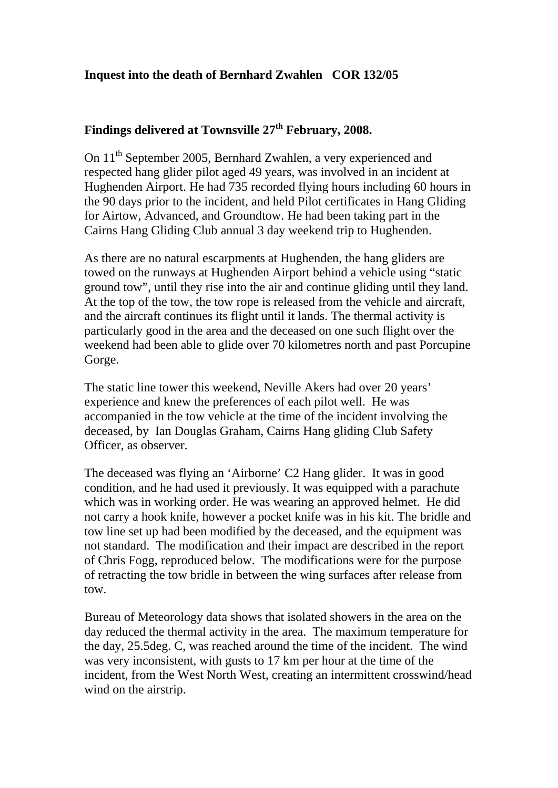## **Inquest into the death of Bernhard Zwahlen COR 132/05**

## **Findings delivered at Townsville 27th February, 2008.**

On 11th September 2005, Bernhard Zwahlen, a very experienced and respected hang glider pilot aged 49 years, was involved in an incident at Hughenden Airport. He had 735 recorded flying hours including 60 hours in the 90 days prior to the incident, and held Pilot certificates in Hang Gliding for Airtow, Advanced, and Groundtow. He had been taking part in the Cairns Hang Gliding Club annual 3 day weekend trip to Hughenden.

As there are no natural escarpments at Hughenden, the hang gliders are towed on the runways at Hughenden Airport behind a vehicle using "static ground tow", until they rise into the air and continue gliding until they land. At the top of the tow, the tow rope is released from the vehicle and aircraft, and the aircraft continues its flight until it lands. The thermal activity is particularly good in the area and the deceased on one such flight over the weekend had been able to glide over 70 kilometres north and past Porcupine Gorge.

The static line tower this weekend, Neville Akers had over 20 years' experience and knew the preferences of each pilot well. He was accompanied in the tow vehicle at the time of the incident involving the deceased, by Ian Douglas Graham, Cairns Hang gliding Club Safety Officer, as observer.

The deceased was flying an 'Airborne' C2 Hang glider. It was in good condition, and he had used it previously. It was equipped with a parachute which was in working order. He was wearing an approved helmet. He did not carry a hook knife, however a pocket knife was in his kit. The bridle and tow line set up had been modified by the deceased, and the equipment was not standard. The modification and their impact are described in the report of Chris Fogg, reproduced below. The modifications were for the purpose of retracting the tow bridle in between the wing surfaces after release from tow.

Bureau of Meteorology data shows that isolated showers in the area on the day reduced the thermal activity in the area. The maximum temperature for the day, 25.5deg. C, was reached around the time of the incident. The wind was very inconsistent, with gusts to 17 km per hour at the time of the incident, from the West North West, creating an intermittent crosswind/head wind on the airstrip.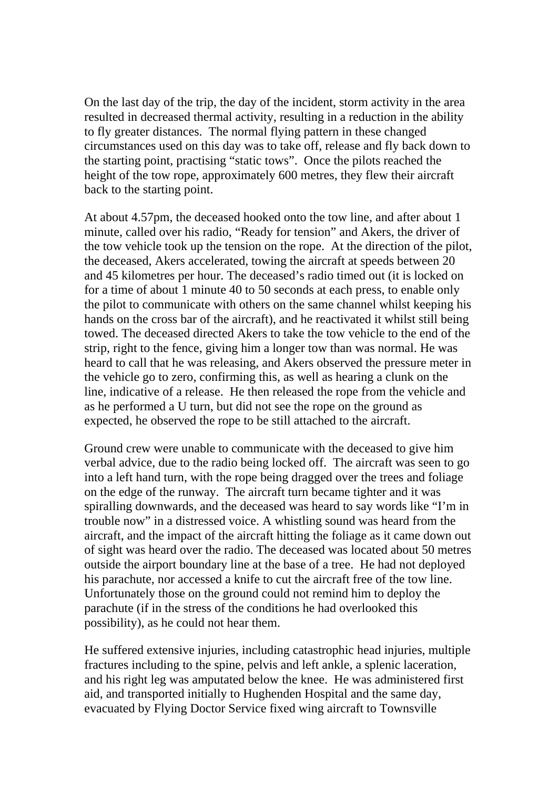On the last day of the trip, the day of the incident, storm activity in the area resulted in decreased thermal activity, resulting in a reduction in the ability to fly greater distances. The normal flying pattern in these changed circumstances used on this day was to take off, release and fly back down to the starting point, practising "static tows". Once the pilots reached the height of the tow rope, approximately 600 metres, they flew their aircraft back to the starting point.

At about 4.57pm, the deceased hooked onto the tow line, and after about 1 minute, called over his radio, "Ready for tension" and Akers, the driver of the tow vehicle took up the tension on the rope. At the direction of the pilot, the deceased, Akers accelerated, towing the aircraft at speeds between 20 and 45 kilometres per hour. The deceased's radio timed out (it is locked on for a time of about 1 minute 40 to 50 seconds at each press, to enable only the pilot to communicate with others on the same channel whilst keeping his hands on the cross bar of the aircraft), and he reactivated it whilst still being towed. The deceased directed Akers to take the tow vehicle to the end of the strip, right to the fence, giving him a longer tow than was normal. He was heard to call that he was releasing, and Akers observed the pressure meter in the vehicle go to zero, confirming this, as well as hearing a clunk on the line, indicative of a release. He then released the rope from the vehicle and as he performed a U turn, but did not see the rope on the ground as expected, he observed the rope to be still attached to the aircraft.

Ground crew were unable to communicate with the deceased to give him verbal advice, due to the radio being locked off. The aircraft was seen to go into a left hand turn, with the rope being dragged over the trees and foliage on the edge of the runway. The aircraft turn became tighter and it was spiralling downwards, and the deceased was heard to say words like "I'm in trouble now" in a distressed voice. A whistling sound was heard from the aircraft, and the impact of the aircraft hitting the foliage as it came down out of sight was heard over the radio. The deceased was located about 50 metres outside the airport boundary line at the base of a tree. He had not deployed his parachute, nor accessed a knife to cut the aircraft free of the tow line. Unfortunately those on the ground could not remind him to deploy the parachute (if in the stress of the conditions he had overlooked this possibility), as he could not hear them.

He suffered extensive injuries, including catastrophic head injuries, multiple fractures including to the spine, pelvis and left ankle, a splenic laceration, and his right leg was amputated below the knee. He was administered first aid, and transported initially to Hughenden Hospital and the same day, evacuated by Flying Doctor Service fixed wing aircraft to Townsville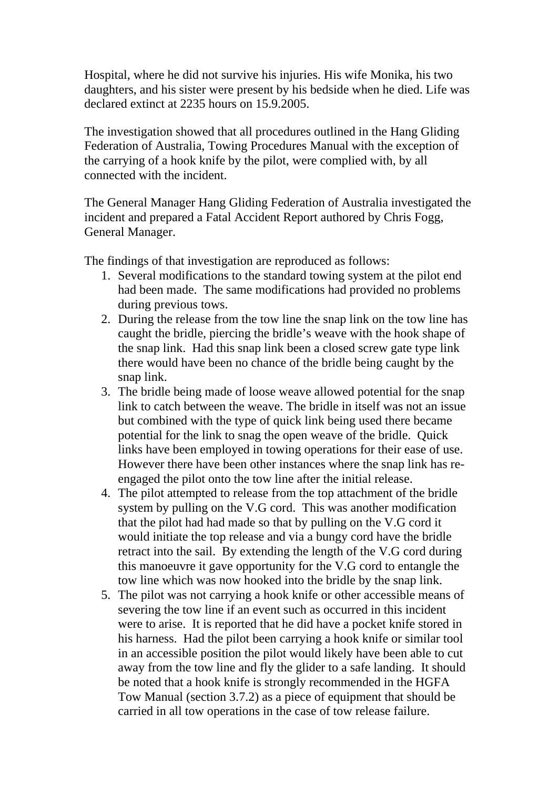Hospital, where he did not survive his injuries. His wife Monika, his two daughters, and his sister were present by his bedside when he died. Life was declared extinct at 2235 hours on 15.9.2005.

The investigation showed that all procedures outlined in the Hang Gliding Federation of Australia, Towing Procedures Manual with the exception of the carrying of a hook knife by the pilot, were complied with, by all connected with the incident.

The General Manager Hang Gliding Federation of Australia investigated the incident and prepared a Fatal Accident Report authored by Chris Fogg, General Manager.

The findings of that investigation are reproduced as follows:

- 1. Several modifications to the standard towing system at the pilot end had been made. The same modifications had provided no problems during previous tows.
- 2. During the release from the tow line the snap link on the tow line has caught the bridle, piercing the bridle's weave with the hook shape of the snap link. Had this snap link been a closed screw gate type link there would have been no chance of the bridle being caught by the snap link.
- 3. The bridle being made of loose weave allowed potential for the snap link to catch between the weave. The bridle in itself was not an issue but combined with the type of quick link being used there became potential for the link to snag the open weave of the bridle. Quick links have been employed in towing operations for their ease of use. However there have been other instances where the snap link has reengaged the pilot onto the tow line after the initial release.
- 4. The pilot attempted to release from the top attachment of the bridle system by pulling on the V.G cord. This was another modification that the pilot had had made so that by pulling on the V.G cord it would initiate the top release and via a bungy cord have the bridle retract into the sail. By extending the length of the V.G cord during this manoeuvre it gave opportunity for the V.G cord to entangle the tow line which was now hooked into the bridle by the snap link.
- 5. The pilot was not carrying a hook knife or other accessible means of severing the tow line if an event such as occurred in this incident were to arise. It is reported that he did have a pocket knife stored in his harness. Had the pilot been carrying a hook knife or similar tool in an accessible position the pilot would likely have been able to cut away from the tow line and fly the glider to a safe landing. It should be noted that a hook knife is strongly recommended in the HGFA Tow Manual (section 3.7.2) as a piece of equipment that should be carried in all tow operations in the case of tow release failure.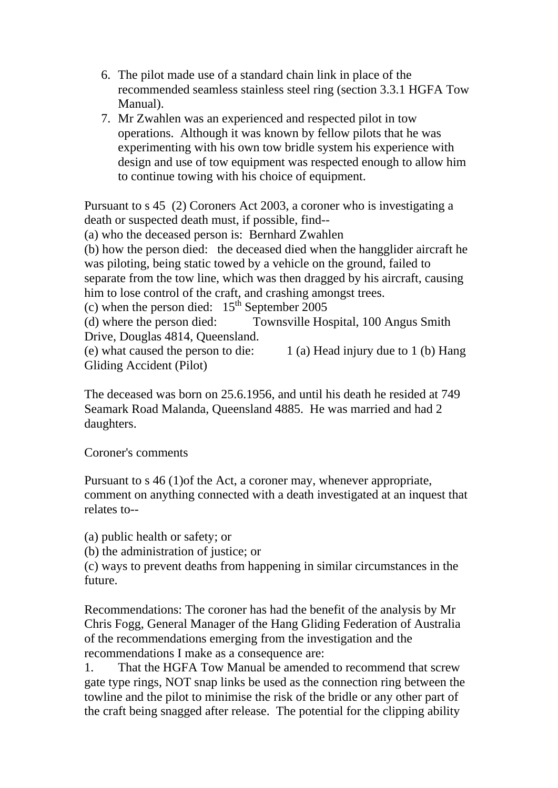- 6. The pilot made use of a standard chain link in place of the recommended seamless stainless steel ring (section 3.3.1 HGFA Tow Manual).
- 7. Mr Zwahlen was an experienced and respected pilot in tow operations. Although it was known by fellow pilots that he was experimenting with his own tow bridle system his experience with design and use of tow equipment was respected enough to allow him to continue towing with his choice of equipment.

Pursuant to s 45 (2) Coroners Act 2003, a coroner who is investigating a death or suspected death must, if possible, find--

(a) who the deceased person is: Bernhard Zwahlen

(b) how the person died: the deceased died when the hangglider aircraft he was piloting, being static towed by a vehicle on the ground, failed to separate from the tow line, which was then dragged by his aircraft, causing him to lose control of the craft, and crashing amongst trees.

(c) when the person died:  $15<sup>th</sup>$  September 2005

(d) where the person died: Townsville Hospital, 100 Angus Smith Drive, Douglas 4814, Queensland.

(e) what caused the person to die:  $1$  (a) Head injury due to 1 (b) Hang Gliding Accident (Pilot)

The deceased was born on 25.6.1956, and until his death he resided at 749 Seamark Road Malanda, Queensland 4885. He was married and had 2 daughters.

Coroner's comments

Pursuant to s 46 (1)of the Act, a coroner may, whenever appropriate, comment on anything connected with a death investigated at an inquest that relates to--

(a) public health or safety; or

(b) the administration of justice; or

(c) ways to prevent deaths from happening in similar circumstances in the future.

Recommendations: The coroner has had the benefit of the analysis by Mr Chris Fogg, General Manager of the Hang Gliding Federation of Australia of the recommendations emerging from the investigation and the recommendations I make as a consequence are:

1. That the HGFA Tow Manual be amended to recommend that screw gate type rings, NOT snap links be used as the connection ring between the towline and the pilot to minimise the risk of the bridle or any other part of the craft being snagged after release. The potential for the clipping ability